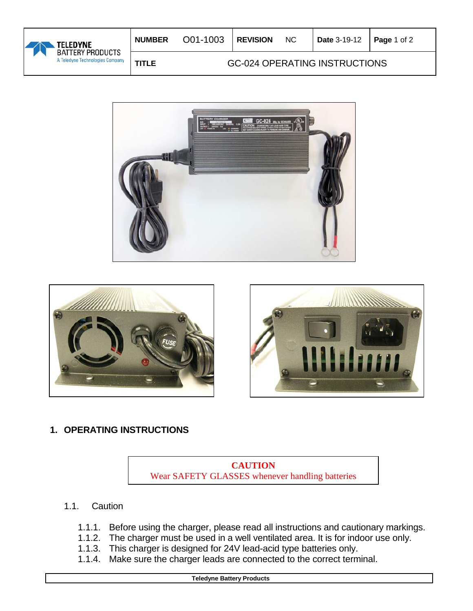

#### **TITLE** GC-024 OPERATING INSTRUCTIONS







# **1. OPERATING INSTRUCTIONS**

**CAUTION** Wear SAFETY GLASSES whenever handling batteries

### 1.1. Caution

- 1.1.1. Before using the charger, please read all instructions and cautionary markings.
- 1.1.2. The charger must be used in a well ventilated area. It is for indoor use only.
- 1.1.3. This charger is designed for 24V lead-acid type batteries only.
- 1.1.4. Make sure the charger leads are connected to the correct terminal.